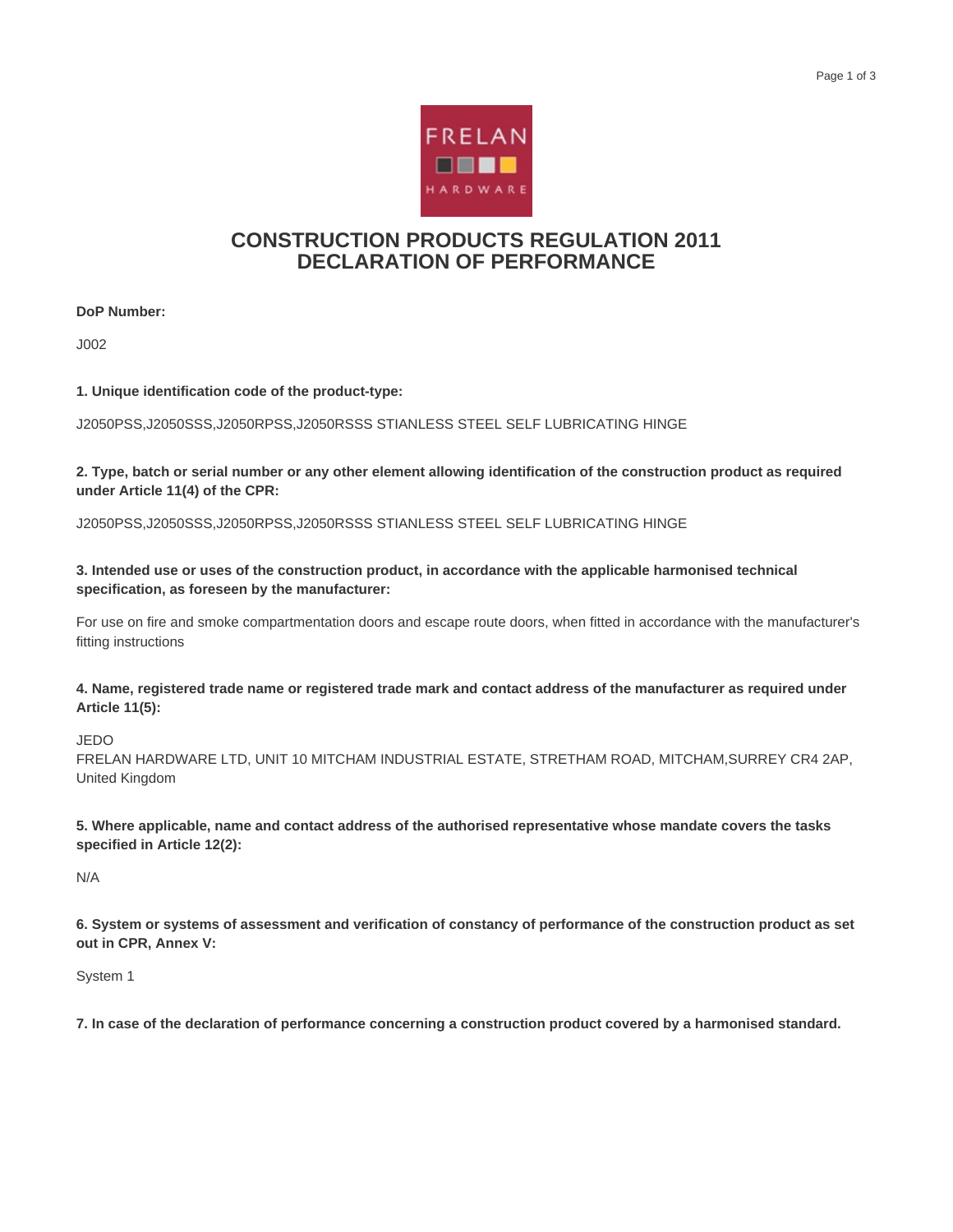

## **CONSTRUCTION PRODUCTS REGULATION 2011 DECLARATION OF PERFORMANCE**

**DoP Number:**

J002

**1. Unique identification code of the product-type:**

J2050PSS,J2050SSS,J2050RPSS,J2050RSSS STIANLESS STEEL SELF LUBRICATING HINGE

**2. Type, batch or serial number or any other element allowing identification of the construction product as required under Article 11(4) of the CPR:**

J2050PSS,J2050SSS,J2050RPSS,J2050RSSS STIANLESS STEEL SELF LUBRICATING HINGE

**3. Intended use or uses of the construction product, in accordance with the applicable harmonised technical specification, as foreseen by the manufacturer:**

For use on fire and smoke compartmentation doors and escape route doors, when fitted in accordance with the manufacturer's fitting instructions

**4. Name, registered trade name or registered trade mark and contact address of the manufacturer as required under Article 11(5):**

JEDO

FRELAN HARDWARE LTD, UNIT 10 MITCHAM INDUSTRIAL ESTATE, STRETHAM ROAD, MITCHAM,SURREY CR4 2AP, United Kingdom

**5. Where applicable, name and contact address of the authorised representative whose mandate covers the tasks specified in Article 12(2):**

N/A

**6. System or systems of assessment and verification of constancy of performance of the construction product as set out in CPR, Annex V:**

System 1

**7. In case of the declaration of performance concerning a construction product covered by a harmonised standard.**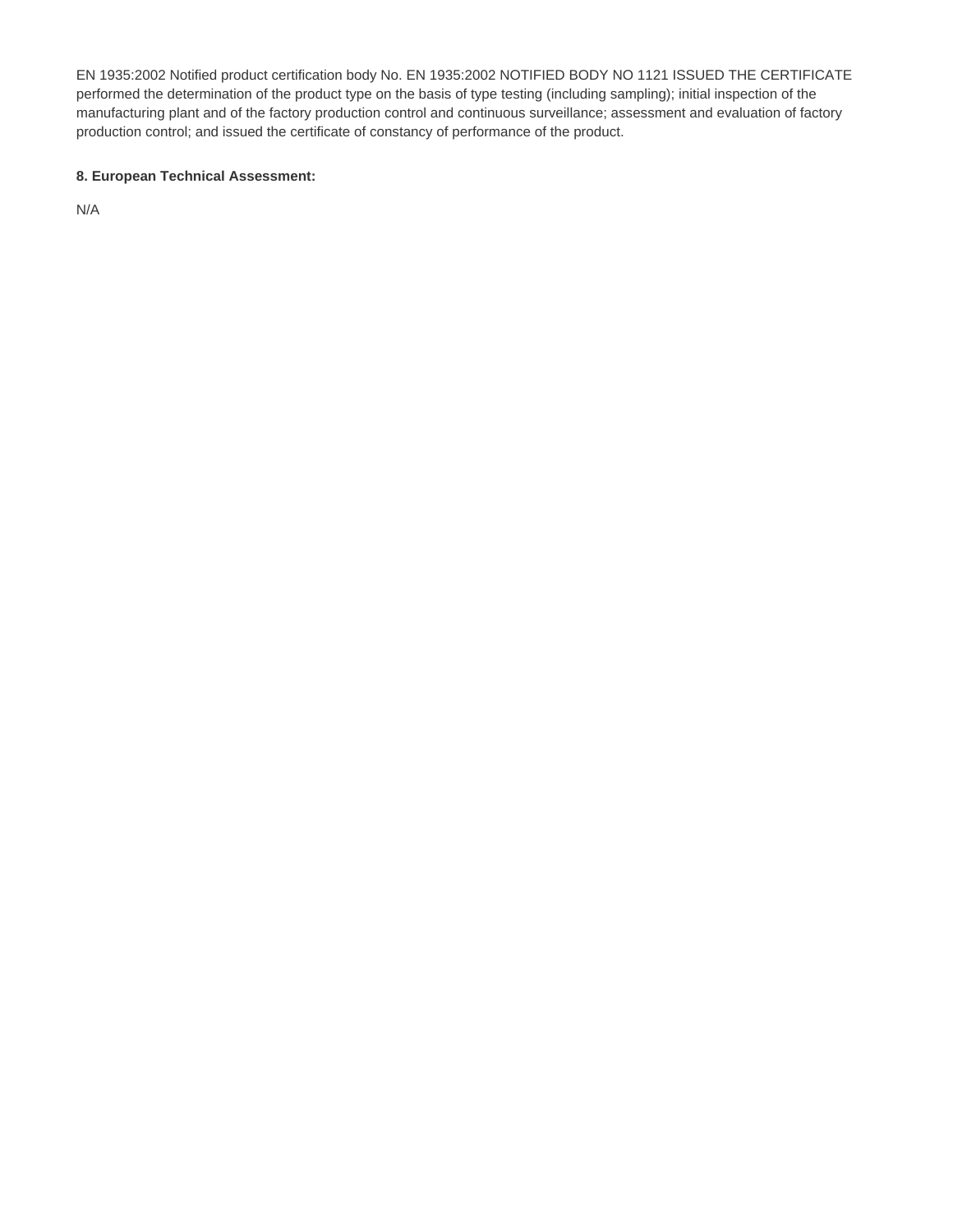EN 1935:2002 Notified product certification body No. EN 1935:2002 NOTIFIED BODY NO 1121 ISSUED THE CERTIFICATE performed the determination of the product type on the basis of type testing (including sampling); initial inspection of the manufacturing plant and of the factory production control and continuous surveillance; assessment and evaluation of factory production control; and issued the certificate of constancy of performance of the product.

## **8. European Technical Assessment:**

N/A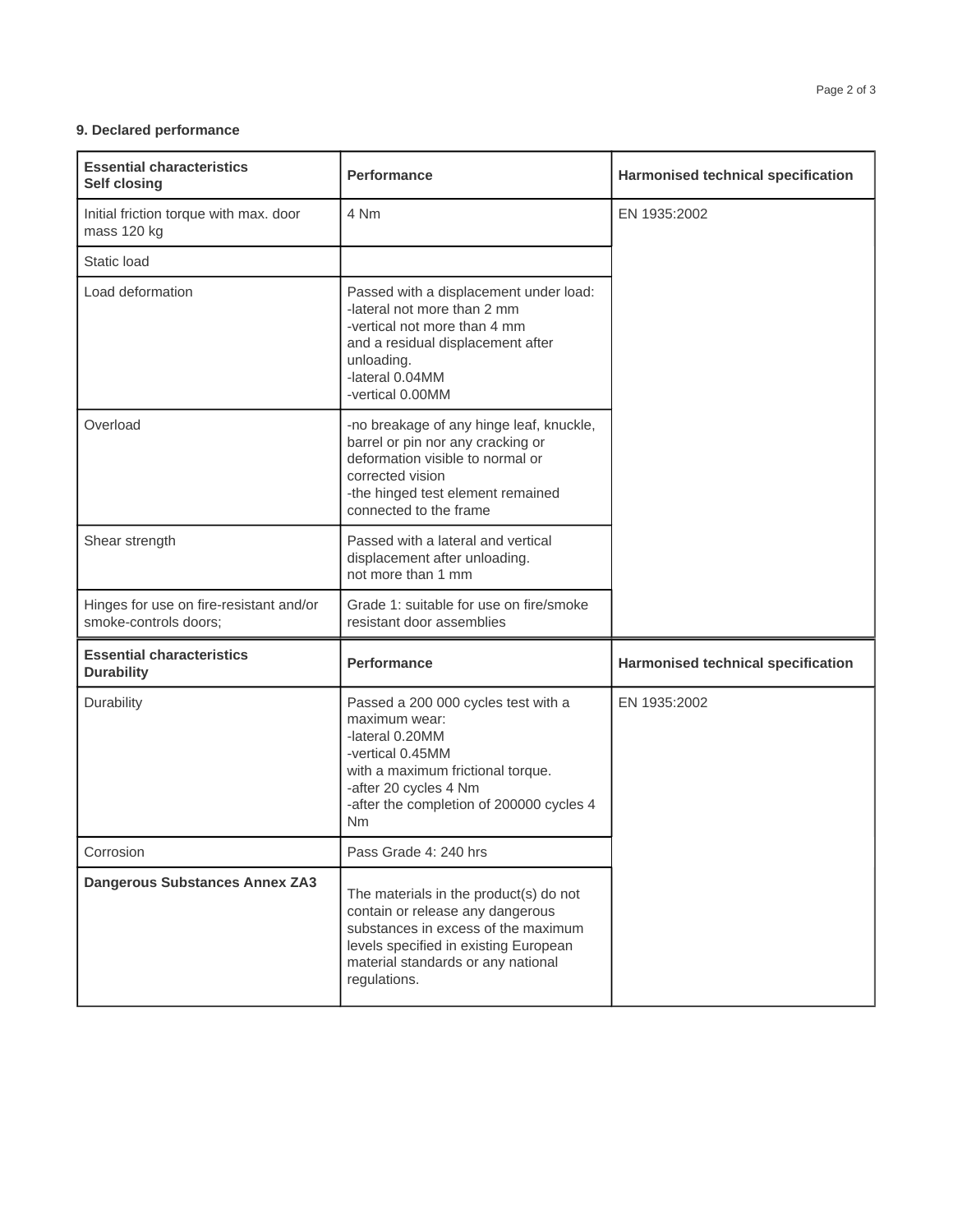## **9. Declared performance**

| <b>Essential characteristics</b><br><b>Self closing</b>          | <b>Performance</b>                                                                                                                                                                                                 | Harmonised technical specification        |
|------------------------------------------------------------------|--------------------------------------------------------------------------------------------------------------------------------------------------------------------------------------------------------------------|-------------------------------------------|
| Initial friction torque with max. door<br>mass 120 kg            | 4 Nm                                                                                                                                                                                                               | EN 1935:2002                              |
| Static load                                                      |                                                                                                                                                                                                                    |                                           |
| Load deformation                                                 | Passed with a displacement under load:<br>-lateral not more than 2 mm<br>-vertical not more than 4 mm<br>and a residual displacement after<br>unloading.<br>-lateral 0.04MM<br>-vertical 0.00MM                    |                                           |
| Overload                                                         | -no breakage of any hinge leaf, knuckle,<br>barrel or pin nor any cracking or<br>deformation visible to normal or<br>corrected vision<br>-the hinged test element remained<br>connected to the frame               |                                           |
| Shear strength                                                   | Passed with a lateral and vertical<br>displacement after unloading.<br>not more than 1 mm                                                                                                                          |                                           |
| Hinges for use on fire-resistant and/or<br>smoke-controls doors; | Grade 1: suitable for use on fire/smoke<br>resistant door assemblies                                                                                                                                               |                                           |
| <b>Essential characteristics</b><br><b>Durability</b>            | <b>Performance</b>                                                                                                                                                                                                 | <b>Harmonised technical specification</b> |
| Durability                                                       | Passed a 200 000 cycles test with a<br>maximum wear:<br>-lateral 0.20MM<br>-vertical 0.45MM<br>with a maximum frictional torque.<br>-after 20 cycles 4 Nm<br>-after the completion of 200000 cycles 4<br><b>Nm</b> | EN 1935:2002                              |
| Corrosion                                                        | Pass Grade 4: 240 hrs                                                                                                                                                                                              |                                           |
| <b>Dangerous Substances Annex ZA3</b>                            | The materials in the product(s) do not<br>contain or release any dangerous<br>substances in excess of the maximum<br>levels specified in existing European<br>material standards or any national<br>regulations.   |                                           |